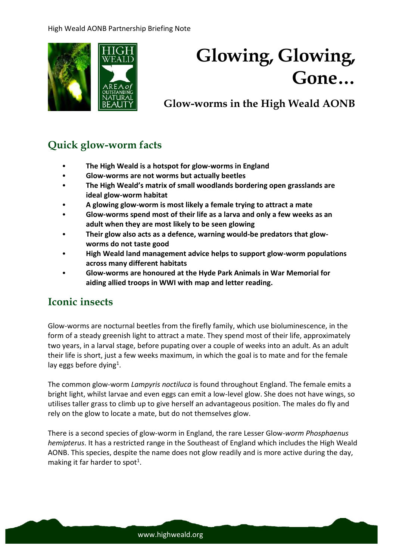

# **Glowing, Glowing, Gone…**

# **Glow-worms in the High Weald AONB**

# **Quick glow-worm facts**

- **The High Weald is a hotspot for glow-worms in England**
- **Glow-worms are not worms but actually beetles**
- **The High Weald's matrix of small woodlands bordering open grasslands are ideal glow-worm habitat**
- **A glowing glow-worm is most likely a female trying to attract a mate**
- **Glow-worms spend most of their life as a larva and only a few weeks as an adult when they are most likely to be seen glowing**
- **Their glow also acts as a defence, warning would-be predators that glowworms do not taste good**
- **High Weald land management advice helps to support glow-worm populations across many different habitats**
- **Glow-worms are honoured at the Hyde Park Animals in War Memorial for aiding allied troops in WWI with map and letter reading.**

# **Iconic insects**

Glow-worms are nocturnal beetles from the firefly family, which use bioluminescence, in the form of a steady greenish light to attract a mate. They spend most of their life, approximately two years, in a larval stage, before pupating over a couple of weeks into an adult. As an adult their life is short, just a few weeks maximum, in which the goal is to mate and for the female lay eggs before dying<sup>1</sup>.

The common glow-worm *Lampyris noctiluca* is found throughout England. The female emits a bright light, whilst larvae and even eggs can emit a low-level glow. She does not have wings, so utilises taller grass to climb up to give herself an advantageous position. The males do fly and rely on the glow to locate a mate, but do not themselves glow.

There is a second species of glow-worm in England, the rare Lesser Glow-*worm Phosphaenus hemipterus*. It has a restricted range in the Southeast of England which includes the High Weald AONB. This species, despite the name does not glow readily and is more active during the day, making it far harder to spot<sup>1</sup>.

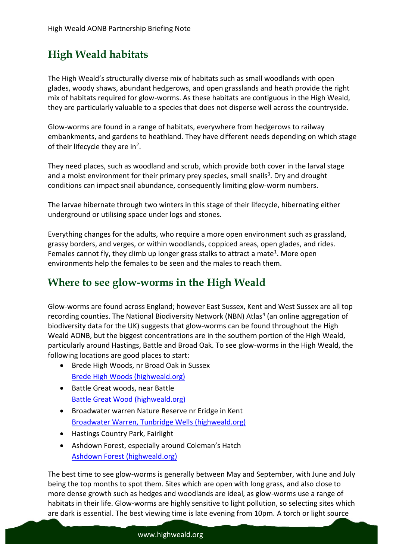# **High Weald habitats**

The High Weald's structurally diverse mix of habitats such as small woodlands with open glades, woody shaws, abundant hedgerows, and open grasslands and heath provide the right mix of habitats required for glow-worms. As these habitats are contiguous in the High Weald, they are particularly valuable to a species that does not disperse well across the countryside.

Glow-worms are found in a range of habitats, everywhere from hedgerows to railway embankments, and gardens to heathland. They have different needs depending on which stage of their lifecycle they are in<sup>2</sup>.

They need places, such as woodland and scrub, which provide both cover in the larval stage and a moist environment for their primary prey species, small snails<sup>3</sup>. Dry and drought conditions can impact snail abundance, consequently limiting glow-worm numbers.

The larvae hibernate through two winters in this stage of their lifecycle, hibernating either underground or utilising space under logs and stones.

Everything changes for the adults, who require a more open environment such as grassland, grassy borders, and verges, or within woodlands, coppiced areas, open glades, and rides. Females cannot fly, they climb up longer grass stalks to attract a mate<sup>1</sup>. More open environments help the females to be seen and the males to reach them.

### **Where to see glow-worms in the High Weald**

Glow-worms are found across England; however East Sussex, Kent and West Sussex are all top recording counties. The National Biodiversity Network (NBN) Atlas<sup>4</sup> (an online aggregation of biodiversity data for the UK) suggests that glow-worms can be found throughout the High Weald AONB, but the biggest concentrations are in the southern portion of the High Weald, particularly around Hastings, Battle and Broad Oak. To see glow-worms in the High Weald, the following locations are good places to start:

- Brede High Woods, nr Broad Oak in Sussex [Brede High Woods \(highweald.org\)](https://www.highweald.org/explore-sussex/nature-reserves/brede-high-wood.html)
- Battle Great woods, near Battle [Battle Great Wood \(highweald.org\)](https://www.highweald.org/explore-sussex/nature-reserves/984-battle-great-wood.html)
- Broadwater warren Nature Reserve nr Eridge in Kent [Broadwater Warren, Tunbridge Wells \(highweald.org\)](https://www.highweald.org/explore-sussex/nature-reserves/broadwater-warren-tunbridge-wells.html)
- Hastings Country Park, Fairlight
- Ashdown Forest, especially around Coleman's Hatch [Ashdown Forest \(highweald.org\)](https://www.highweald.org/explore-sussex/nature-reserves/ashdown.html)

The best time to see glow-worms is generally between May and September, with June and July being the top months to spot them. Sites which are open with long grass, and also close to more dense growth such as hedges and woodlands are ideal, as glow-worms use a range of habitats in their life. Glow-worms are highly sensitive to light pollution, so selecting sites which are dark is essential. The best viewing time is late evening from 10pm. A torch or light source

#### www.highweald.org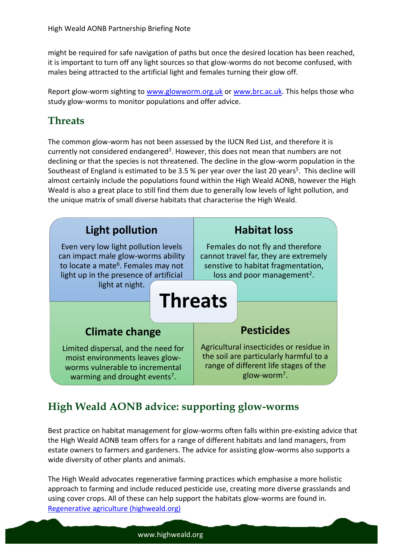might be required for safe navigation of paths but once the desired location has been reached, it is important to turn off any light sources so that glow-worms do not become confused, with males being attracted to the artificial light and females turning their glow off.

Report glow-worm sighting to [www.glowworm.org.uk](http://www.glowworm.org.uk/) or [www.brc.ac.uk.](http://www.brc.ac.uk/) This helps those who study glow-worms to monitor populations and offer advice.

### **Threats**

The common glow-worm has not been assessed by the IUCN Red List, and therefore it is currently not considered endangered<sup>2</sup>. However, this does not mean that numbers are not declining or that the species is not threatened. The decline in the glow-worm population in the Southeast of England is estimated to be 3.5 % per year over the last 20 years<sup>5</sup>. This decline will almost certainly include the populations found within the High Weald AONB, however the High Weald is also a great place to still find them due to generally low levels of light pollution, and the unique matrix of small diverse habitats that characterise the High Weald.



# **High Weald AONB advice: supporting glow-worms**

Best practice on habitat management for glow-worms often falls within pre-existing advice that the High Weald AONB team offers for a range of different habitats and land managers, from estate owners to farmers and gardeners. The advice for assisting glow-worms also supports a wide diversity of other plants and animals.

The High Weald advocates regenerative farming practices which emphasise a more holistic approach to farming and include reduced pesticide use, creating more diverse grasslands and using cover crops. All of these can help support the habitats glow-worms are found in. [Regenerative agriculture \(highweald.org\)](https://www.highweald.org/look-after/regenerative-agriculture.html)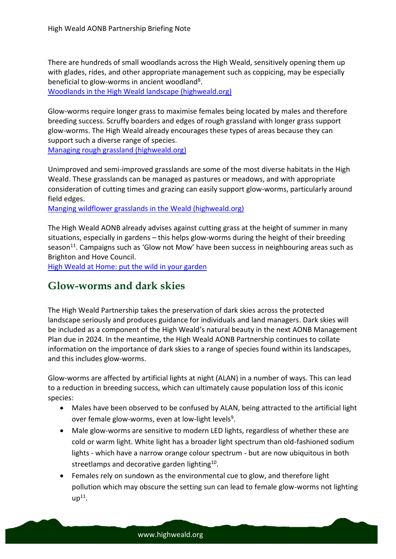There are hundreds of small woodlands across the High Weald, sensitively opening them up with glades, rides, and other appropriate management such as coppicing, may be especially beneficial to glow-worms in ancient woodland<sup>8</sup>.

[Woodlands in the High Weald landscape \(highweald.org\)](https://www.highweald.org/downloads/publications/land-management-guidance/woodland-1/1099-high-weald-land-management-guidance-woodlands/file.html)

Glow-worms require longer grass to maximise females being located by males and therefore breeding success. Scruffy boarders and edges of rough grassland with longer grass support glow-worms. The High Weald already encourages these types of areas because they can support such a diverse range of species.

[Managing rough grassland \(highweald.org\)](https://www.highweald.org/look-after/land-management/grassland/2264-benefits-of-managing-rough-grassland.html)

Unimproved and semi-improved grasslands are some of the most diverse habitats in the High Weald. These grasslands can be managed as pastures or meadows, and with appropriate consideration of cutting times and grazing can easily support glow-worms, particularly around field edges.

[Manging wildflower grasslands in the Weald \(highweald.org\)](https://www.highweald.org/downloads/publications/land-management-guidance/grassland/45-how-to-manage-a-wildflower-meadow/file.html)

The High Weald AONB already advises against cutting grass at the height of summer in many situations, especially in gardens – this helps glow-worms during the height of their breeding season $^{11}$ . Campaigns such as 'Glow not Mow' have been success in neighbouring areas such as Brighton and Hove Council.

[High Weald at Home: put the wild in your garden](https://www.highweald.org/news/2395-high-weald-at-home-wildlife-gardening.html)

### **Glow-worms and dark skies**

The High Weald Partnership takes the preservation of dark skies across the protected landscape seriously and produces guidance for individuals and land managers. Dark skies will be included as a component of the High Weald's natural beauty in the next AONB Management Plan due in 2024. In the meantime, the High Weald AONB Partnership continues to collate information on the importance of dark skies to a range of species found within its landscapes, and this includes glow-worms.

Glow-worms are affected by artificial lights at night (ALAN) in a number of ways. This can lead to a reduction in breeding success, which can ultimately cause population loss of this iconic species:

- Males have been observed to be confused by ALAN, being attracted to the artificial light over female glow-worms, even at low-light levels<sup>9</sup>.
- Male glow-worms are sensitive to modern LED lights, regardless of whether these are cold or warm light. White light has a broader light spectrum than old-fashioned sodium lights - which have a narrow orange colour spectrum - but are now ubiquitous in both streetlamps and decorative garden lighting<sup>10</sup>.
- Females rely on sundown as the environmental cue to glow, and therefore light pollution which may obscure the setting sun can lead to female glow-worms not lighting  $up<sup>11</sup>$ .